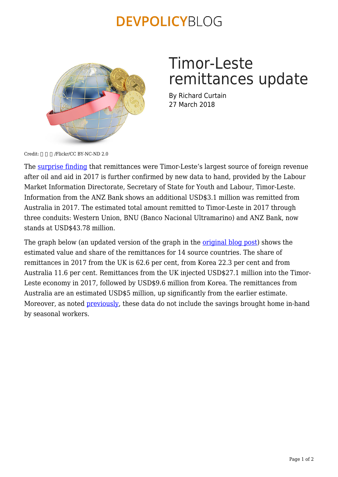## **DEVPOLICYBLOG**



# Timor-Leste remittances update

By Richard Curtain 27 March 2018

 $Credit:$  /Flickr/CC BY-NC-ND 2.0

The [surprise finding](https://devpolicy.org/remittances-biggest-export-earner-for-timor-leste-after-oil-20180322/) that remittances were Timor-Leste's largest source of foreign revenue after oil and aid in 2017 is further confirmed by new data to hand, provided by the Labour Market Information Directorate, Secretary of State for Youth and Labour, Timor-Leste. Information from the ANZ Bank shows an additional USD\$3.1 million was remitted from Australia in 2017. The estimated total amount remitted to Timor-Leste in 2017 through three conduits: Western Union, BNU (Banco Nacional Ultramarino) and ANZ Bank, now stands at USD\$43.78 million.

The graph below (an updated version of the graph in the *[original blog post](https://devpolicy.org/remittances-biggest-export-earner-for-timor-leste-after-oil-20180322/)*) shows the estimated value and share of the remittances for 14 source countries. The share of remittances in 2017 from the UK is 62.6 per cent, from Korea 22.3 per cent and from Australia 11.6 per cent. Remittances from the UK injected USD\$27.1 million into the Timor-Leste economy in 2017, followed by USD\$9.6 million from Korea. The remittances from Australia are an estimated USD\$5 million, up significantly from the earlier estimate. Moreover, as noted **[previously](https://devpolicy.org/remittances-biggest-export-earner-for-timor-leste-after-oil-20180322/)**, these data do not include the savings brought home in-hand by seasonal workers.